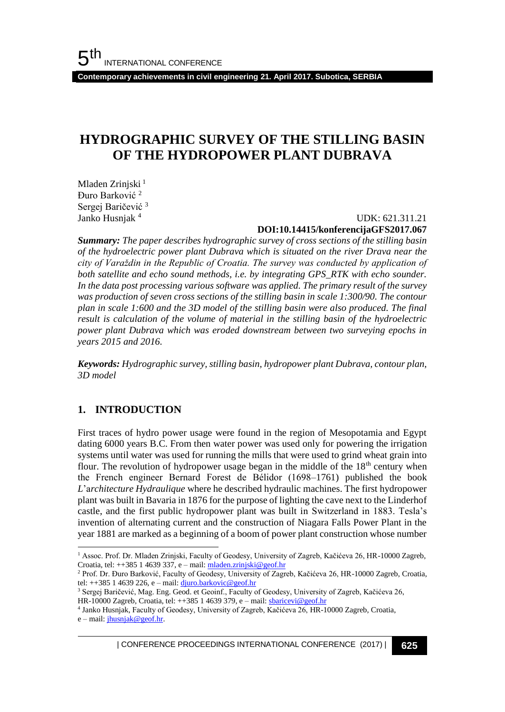**Contemporary achievements in civil engineering 21. April 2017. Subotica, SERBIA**

# **HYDROGRAPHIC SURVEY OF THE STILLING BASIN OF THE HYDROPOWER PLANT DUBRAVA**

Mladen Zrinjski<sup>1</sup> Đuro Barković <sup>2</sup> Sergej Baričević <sup>3</sup> Janko Husniak<sup>4</sup>

#### UDK: 621.311.21 **DOI:10.14415/konferencijaGFS2017.067**

*Summary: The paper describes hydrographic survey of cross sections of the stilling basin of the hydroelectric power plant Dubrava which is situated on the river Drava near the city of Varaždin in the Republic of Croatia. The survey was conducted by application of both satellite and echo sound methods, i.e. by integrating GPS\_RTK with echo sounder. In the data post processing various software was applied. The primary result of the survey was production of seven cross sections of the stilling basin in scale 1:300/90. The contour plan in scale 1:600 and the 3D model of the stilling basin were also produced. The final result is calculation of the volume of material in the stilling basin of the hydroelectric power plant Dubrava which was eroded downstream between two surveying epochs in years 2015 and 2016.*

*Keywords: Hydrographic survey, stilling basin, hydropower plant Dubrava, contour plan, 3D model*

#### **1. INTRODUCTION**

l

First traces of hydro power usage were found in the region of Mesopotamia and Egypt dating 6000 years B.C. From then water power was used only for powering the irrigation systems until water was used for running the mills that were used to grind wheat grain into flour. The revolution of hydropower usage began in the middle of the  $18<sup>th</sup>$  century when the French engineer Bernard Forest de Bélidor (1698–1761) published the book *L*'a*rchitecture Hydraulique* where he described hydraulic machines. The first hydropower plant was built in Bavaria in 1876 for the purpose of lighting the cave next to the Linderhof castle, and the first public hydropower plant was built in Switzerland in 1883. Tesla's invention of alternating current and the construction of Niagara Falls Power Plant in the year 1881 are marked as a beginning of a boom of power plant construction whose number

| CONFERENCE PROCEEDINGS INTERNATIONAL CONFERENCE (2017) <sup>|</sup>**625**

<sup>&</sup>lt;sup>1</sup> Assoc. Prof. Dr. Mladen Zrinjski, Faculty of Geodesy, University of Zagreb, Kačićeva 26, HR-10000 Zagreb, Croatia, tel: ++385 1 4639 337, e – mail[: mladen.zrinjski@geof.hr](mailto:mladen.zrinjski@geof.hr)

<sup>&</sup>lt;sup>2</sup> Prof. Dr. Đuro Barković, Faculty of Geodesy, University of Zagreb, Kačićeva 26, HR-10000 Zagreb, Croatia, tel:  $++385$  1 4639 226, e – mail:  $d$ juro.barkovic@geof.hr

<sup>&</sup>lt;sup>3</sup> Sergej Baričević, Mag. Eng. Geod. et Geoinf., Faculty of Geodesy, University of Zagreb, Kačićeva 26, HR-10000 Zagreb, Croatia, tel: ++385 1 4639 379, e - mail[: sbaricevi@geof.hr](mailto:sbaricevi@geof.hr)

<sup>4</sup> Janko Husnjak, Faculty of Geodesy, University of Zagreb, Kačićeva 26, HR-10000 Zagreb, Croatia,  $e$  – mail:  $j$ husnjak@geof.hr.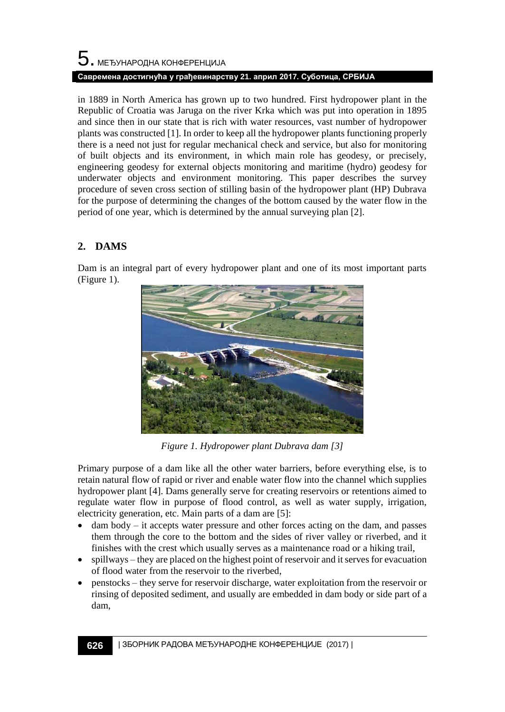# $\mathbf 5$ . међународна конференција **Савремена достигнућа у грађевинарству 21. април 2017. Суботица, СРБИЈА**

in 1889 in North America has grown up to two hundred. First hydropower plant in the Republic of Croatia was Jaruga on the river Krka which was put into operation in 1895 and since then in our state that is rich with water resources, vast number of hydropower plants was constructed [1]. In order to keep all the hydropower plants functioning properly there is a need not just for regular mechanical check and service, but also for monitoring of built objects and its environment, in which main role has geodesy, or precisely, engineering geodesy for external objects monitoring and maritime (hydro) geodesy for underwater objects and environment monitoring. This paper describes the survey procedure of seven cross section of stilling basin of the hydropower plant (HP) Dubrava for the purpose of determining the changes of the bottom caused by the water flow in the period of one year, which is determined by the annual surveying plan [2].

# **2. DAMS**

Dam is an integral part of every hydropower plant and one of its most important parts (Figure 1).



*Figure 1. Hydropower plant Dubrava dam [3]*

Primary purpose of a dam like all the other water barriers, before everything else, is to retain natural flow of rapid or river and enable water flow into the channel which supplies hydropower plant [4]. Dams generally serve for creating reservoirs or retentions aimed to regulate water flow in purpose of flood control, as well as water supply, irrigation, electricity generation, etc. Main parts of a dam are [5]:

- dam body it accepts water pressure and other forces acting on the dam, and passes them through the core to the bottom and the sides of river valley or riverbed, and it finishes with the crest which usually serves as a maintenance road or a hiking trail,
- spillways they are placed on the highest point of reservoir and it serves for evacuation of flood water from the reservoir to the riverbed,
- penstocks they serve for reservoir discharge, water exploitation from the reservoir or rinsing of deposited sediment, and usually are embedded in dam body or side part of a dam,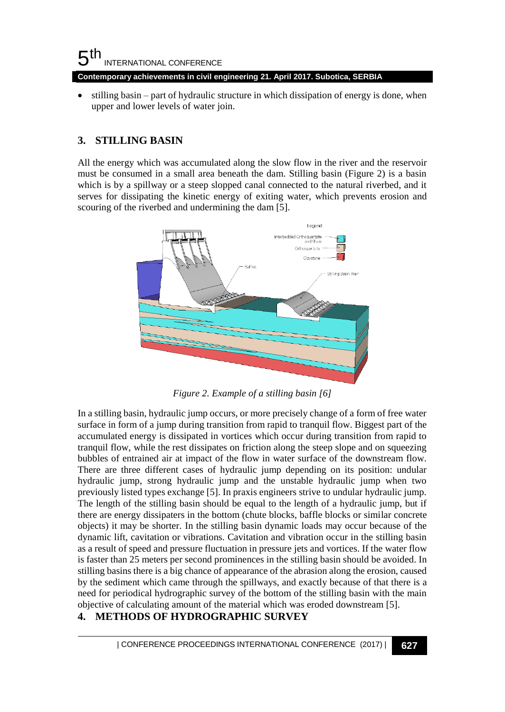**Contemporary achievements in civil engineering 21. April 2017. Subotica, SERBIA**

• stilling basin – part of hydraulic structure in which dissipation of energy is done, when upper and lower levels of water join.

## **3. STILLING BASIN**

All the energy which was accumulated along the slow flow in the river and the reservoir must be consumed in a small area beneath the dam. Stilling basin (Figure 2) is a basin which is by a spillway or a steep slopped canal connected to the natural riverbed, and it serves for dissipating the kinetic energy of exiting water, which prevents erosion and scouring of the riverbed and undermining the dam [5].



*Figure 2. Example of a stilling basin [6]*

In a stilling basin, hydraulic jump occurs, or more precisely change of a form of free water surface in form of a jump during transition from rapid to tranquil flow. Biggest part of the accumulated energy is dissipated in vortices which occur during transition from rapid to tranquil flow, while the rest dissipates on friction along the steep slope and on squeezing bubbles of entrained air at impact of the flow in water surface of the downstream flow. There are three different cases of hydraulic jump depending on its position: undular hydraulic jump, strong hydraulic jump and the unstable hydraulic jump when two previously listed types exchange [5]. In praxis engineers strive to undular hydraulic jump. The length of the stilling basin should be equal to the length of a hydraulic jump, but if there are energy dissipaters in the bottom (chute blocks, baffle blocks or similar concrete objects) it may be shorter. In the stilling basin dynamic loads may occur because of the dynamic lift, cavitation or vibrations. Cavitation and vibration occur in the stilling basin as a result of speed and pressure fluctuation in pressure jets and vortices. If the water flow is faster than 25 meters per second prominences in the stilling basin should be avoided. In stilling basins there is a big chance of appearance of the abrasion along the erosion, caused by the sediment which came through the spillways, and exactly because of that there is a need for periodical hydrographic survey of the bottom of the stilling basin with the main objective of calculating amount of the material which was eroded downstream [5].

## **4. METHODS OF HYDROGRAPHIC SURVEY**

| CONFERENCE PROCEEDINGS INTERNATIONAL CONFERENCE (2017) <sup>|</sup>**627**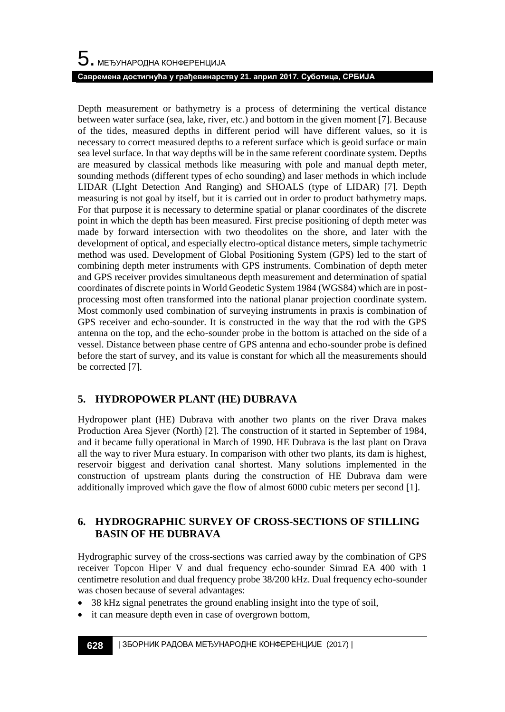Depth measurement or bathymetry is a process of determining the vertical distance between water surface (sea, lake, river, etc.) and bottom in the given moment [7]. Because of the tides, measured depths in different period will have different values, so it is necessary to correct measured depths to a referent surface which is geoid surface or main sea level surface. In that way depths will be in the same referent coordinate system. Depths are measured by classical methods like measuring with pole and manual depth meter, sounding methods (different types of echo sounding) and laser methods in which include LIDAR (LIght Detection And Ranging) and SHOALS (type of LIDAR) [7]. Depth measuring is not goal by itself, but it is carried out in order to product bathymetry maps. For that purpose it is necessary to determine spatial or planar coordinates of the discrete point in which the depth has been measured. First precise positioning of depth meter was made by forward intersection with two theodolites on the shore, and later with the development of optical, and especially electro-optical distance meters, simple tachymetric method was used. Development of Global Positioning System (GPS) led to the start of combining depth meter instruments with GPS instruments. Combination of depth meter and GPS receiver provides simultaneous depth measurement and determination of spatial coordinates of discrete points in World Geodetic System 1984 (WGS84) which are in postprocessing most often transformed into the national planar projection coordinate system. Most commonly used combination of surveying instruments in praxis is combination of GPS receiver and echo-sounder. It is constructed in the way that the rod with the GPS antenna on the top, and the echo-sounder probe in the bottom is attached on the side of a vessel. Distance between phase centre of GPS antenna and echo-sounder probe is defined before the start of survey, and its value is constant for which all the measurements should be corrected [7].

# **5. HYDROPOWER PLANT (HE) DUBRAVA**

Hydropower plant (HE) Dubrava with another two plants on the river Drava makes Production Area Sjever (North) [2]. The construction of it started in September of 1984, and it became fully operational in March of 1990. HE Dubrava is the last plant on Drava all the way to river Mura estuary. In comparison with other two plants, its dam is highest, reservoir biggest and derivation canal shortest. Many solutions implemented in the construction of upstream plants during the construction of HE Dubrava dam were additionally improved which gave the flow of almost 6000 cubic meters per second [1].

## **6. HYDROGRAPHIC SURVEY OF CROSS-SECTIONS OF STILLING BASIN OF HE DUBRAVA**

Hydrographic survey of the cross-sections was carried away by the combination of GPS receiver Topcon Hiper V and dual frequency echo-sounder Simrad EA 400 with 1 centimetre resolution and dual frequency probe 38/200 kHz. Dual frequency echo-sounder was chosen because of several advantages:

- 38 kHz signal penetrates the ground enabling insight into the type of soil,
- it can measure depth even in case of overgrown bottom,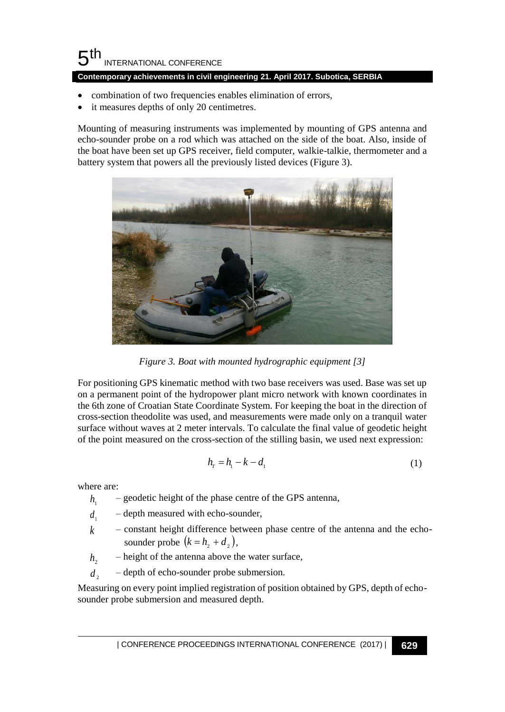**Contemporary achievements in civil engineering 21. April 2017. Subotica, SERBIA**

- combination of two frequencies enables elimination of errors,
- it measures depths of only 20 centimetres.

Mounting of measuring instruments was implemented by mounting of GPS antenna and echo-sounder probe on a rod which was attached on the side of the boat. Also, inside of the boat have been set up GPS receiver, field computer, walkie-talkie, thermometer and a battery system that powers all the previously listed devices (Figure 3).



*Figure 3. Boat with mounted hydrographic equipment [3]*

For positioning GPS kinematic method with two base receivers was used. Base was set up on a permanent point of the hydropower plant micro network with known coordinates in the 6th zone of Croatian State Coordinate System. For keeping the boat in the direction of cross-section theodolite was used, and measurements were made only on a tranquil water surface without waves at 2 meter intervals. To calculate the final value of geodetic height of the point measured on the cross-section of the stilling basin, we used next expression:

$$
h_r = h_1 - k - d_1 \tag{1}
$$

where are:

- $h_{1}$  geodetic height of the phase centre of the GPS antenna,
- $d_1$  depth measured with echo-sounder,
- $k$  constant height difference between phase centre of the antenna and the echosounder probe  $(k = h_2 + d_2)$ ,
- $h_2$  height of the antenna above the water surface,
- $d_{\alpha}$  depth of echo-sounder probe submersion.

Measuring on every point implied registration of position obtained by GPS, depth of echosounder probe submersion and measured depth.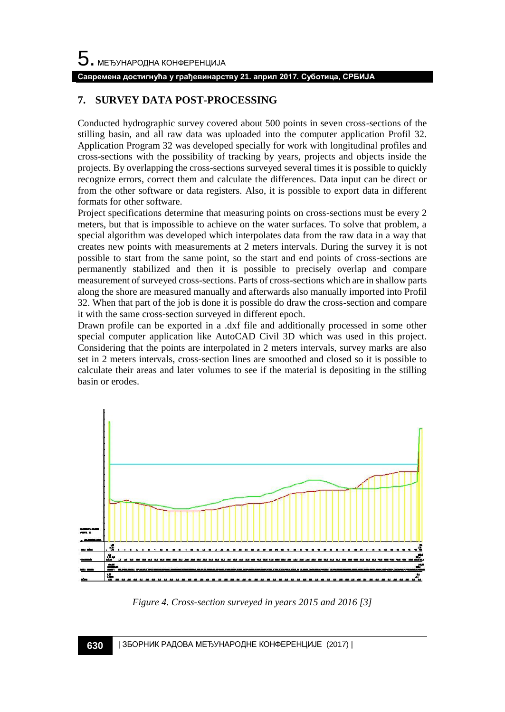#### **Савремена достигнућа у грађевинарству 21. април 2017. Суботица, СРБИЈА**

#### **7. SURVEY DATA POST-PROCESSING**

Conducted hydrographic survey covered about 500 points in seven cross-sections of the stilling basin, and all raw data was uploaded into the computer application Profil 32. Application Program 32 was developed specially for work with longitudinal profiles and cross-sections with the possibility of tracking by years, projects and objects inside the projects. By overlapping the cross-sections surveyed several times it is possible to quickly recognize errors, correct them and calculate the differences. Data input can be direct or from the other software or data registers. Also, it is possible to export data in different formats for other software.

Project specifications determine that measuring points on cross-sections must be every 2 meters, but that is impossible to achieve on the water surfaces. To solve that problem, a special algorithm was developed which interpolates data from the raw data in a way that creates new points with measurements at 2 meters intervals. During the survey it is not possible to start from the same point, so the start and end points of cross-sections are permanently stabilized and then it is possible to precisely overlap and compare measurement of surveyed cross-sections. Parts of cross-sections which are in shallow parts along the shore are measured manually and afterwards also manually imported into Profil 32. When that part of the job is done it is possible do draw the cross-section and compare it with the same cross-section surveyed in different epoch.

Drawn profile can be exported in a .dxf file and additionally processed in some other special computer application like AutoCAD Civil 3D which was used in this project. Considering that the points are interpolated in 2 meters intervals, survey marks are also set in 2 meters intervals, cross-section lines are smoothed and closed so it is possible to calculate their areas and later volumes to see if the material is depositing in the stilling basin or erodes.



*Figure 4. Cross-section surveyed in years 2015 and 2016 [3]*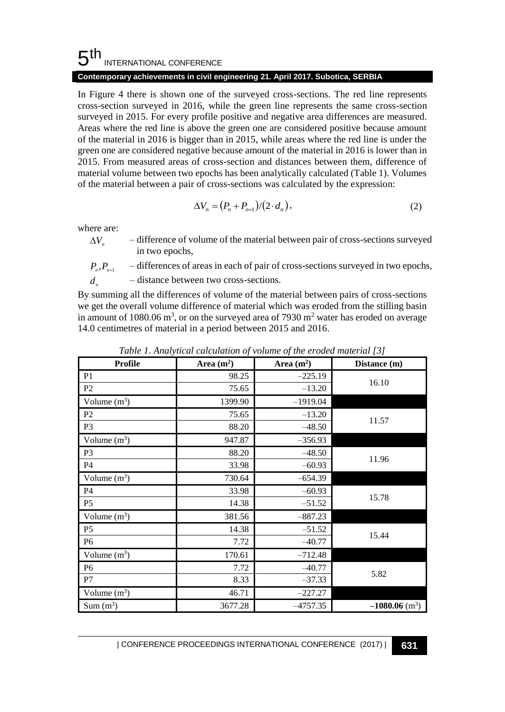#### **Contemporary achievements in civil engineering 21. April 2017. Subotica, SERBIA**

In Figure 4 there is shown one of the surveyed cross-sections. The red line represents cross-section surveyed in 2016, while the green line represents the same cross-section surveyed in 2015. For every profile positive and negative area differences are measured. Areas where the red line is above the green one are considered positive because amount of the material in 2016 is bigger than in 2015, while areas where the red line is under the green one are considered negative because amount of the material in 2016 is lower than in 2015. From measured areas of cross-section and distances between them, difference of material volume between two epochs has been analytically calculated (Table 1). Volumes of the material between a pair of cross-sections was calculated by the expression:

$$
\Delta V_n = (P_n + P_{n+1})/(2 \cdot d_n),\tag{2}
$$

where are:

 $\Delta V_{n}$ – difference of volume of the material between pair of cross-sections surveyed in two epochs,

 $P_n$ ,  $P_n$ - differences of areas in each of pair of cross-sections surveyed in two epochs,

*d n* – distance between two cross-sections.

By summing all the differences of volume of the material between pairs of cross-sections we get the overall volume difference of material which was eroded from the stilling basin in amount of 1080.06 m<sup>3</sup>, or on the surveyed area of 7930 m<sup>2</sup> water has eroded on average 14.0 centimetres of material in a period between 2015 and 2016.

| <b>Profile</b> | Area $(m^2)$ | Area $(m^2)$ | Distance (m)                 |
|----------------|--------------|--------------|------------------------------|
| P <sub>1</sub> | 98.25        | $-225.19$    | 16.10                        |
| P <sub>2</sub> | 75.65        | $-13.20$     |                              |
| Volume $(m^3)$ | 1399.90      | $-1919.04$   |                              |
| P <sub>2</sub> | 75.65        | $-13.20$     | 11.57                        |
| P <sub>3</sub> | 88.20        | $-48.50$     |                              |
| Volume $(m^3)$ | 947.87       | $-356.93$    |                              |
| P <sub>3</sub> | 88.20        | $-48.50$     | 11.96                        |
| P4             | 33.98        | $-60.93$     |                              |
| Volume $(m^3)$ | 730.64       | $-654.39$    |                              |
| P <sub>4</sub> | 33.98        | $-60.93$     | 15.78                        |
| P <sub>5</sub> | 14.38        | $-51.52$     |                              |
| Volume $(m^3)$ | 381.56       | $-887.23$    |                              |
| P <sub>5</sub> | 14.38        | $-51.52$     | 15.44                        |
| P <sub>6</sub> | 7.72         | $-40.77$     |                              |
| Volume $(m^3)$ | 170.61       | $-712.48$    |                              |
| P <sub>6</sub> | 7.72         | $-40.77$     | 5.82                         |
| P7             | 8.33         | $-37.33$     |                              |
| Volume $(m^3)$ | 46.71        | $-227.27$    |                              |
| $Sum(m^3)$     | 3677.28      | $-4757.35$   | $-1080.06$ (m <sup>3</sup> ) |

*Table 1. Analytical calculation of volume of the eroded material [3]*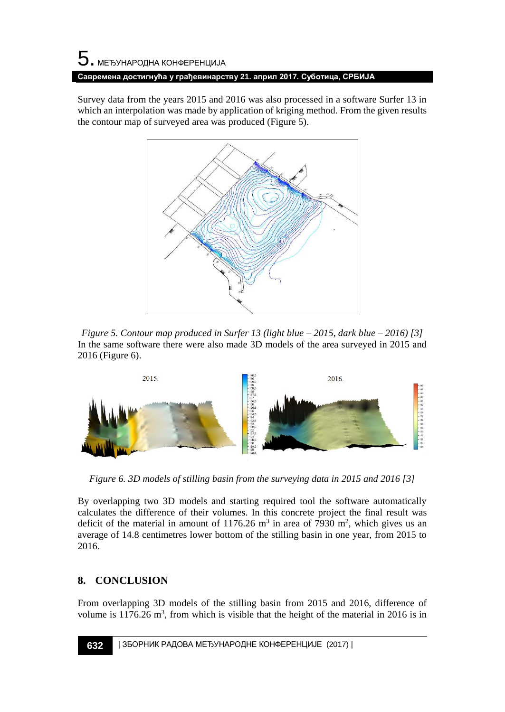# 5. МЕЂУНАРОДНА КОНФЕРЕНЦИЈА **Савремена достигнућа у грађевинарству 21. април 2017. Суботица, СРБИЈА**

Survey data from the years 2015 and 2016 was also processed in a software Surfer 13 in which an interpolation was made by application of kriging method. From the given results the contour map of surveyed area was produced (Figure 5).



*Figure 5. Contour map produced in Surfer 13 (light blue – 2015, dark blue – 2016) [3]* In the same software there were also made 3D models of the area surveyed in 2015 and 2016 (Figure 6).



*Figure 6. 3D models of stilling basin from the surveying data in 2015 and 2016 [3]*

By overlapping two 3D models and starting required tool the software automatically calculates the difference of their volumes. In this concrete project the final result was deficit of the material in amount of  $1176.26$  m<sup>3</sup> in area of 7930 m<sup>2</sup>, which gives us an average of 14.8 centimetres lower bottom of the stilling basin in one year, from 2015 to 2016.

## **8. CONCLUSION**

From overlapping 3D models of the stilling basin from 2015 and 2016, difference of volume is  $1176.26$  m<sup>3</sup>, from which is visible that the height of the material in 2016 is in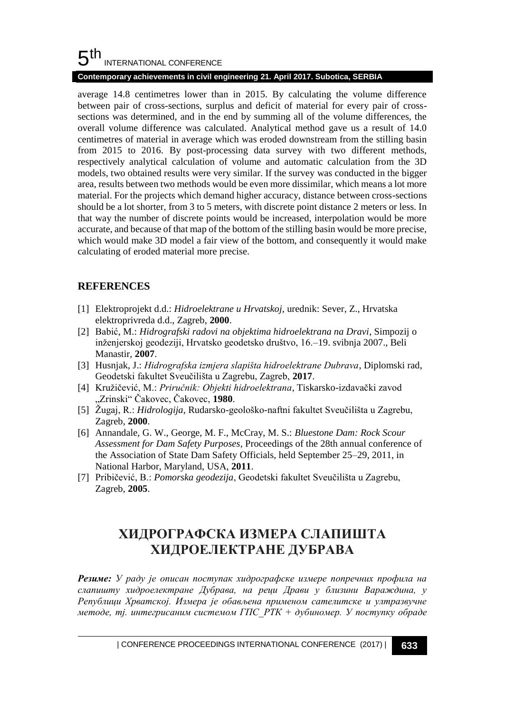#### **Contemporary achievements in civil engineering 21. April 2017. Subotica, SERBIA**

average 14.8 centimetres lower than in 2015. By calculating the volume difference between pair of cross-sections, surplus and deficit of material for every pair of crosssections was determined, and in the end by summing all of the volume differences, the overall volume difference was calculated. Analytical method gave us a result of 14.0 centimetres of material in average which was eroded downstream from the stilling basin from 2015 to 2016. By post-processing data survey with two different methods, respectively analytical calculation of volume and automatic calculation from the 3D models, two obtained results were very similar. If the survey was conducted in the bigger area, results between two methods would be even more dissimilar, which means a lot more material. For the projects which demand higher accuracy, distance between cross-sections should be a lot shorter, from 3 to 5 meters, with discrete point distance 2 meters or less. In that way the number of discrete points would be increased, interpolation would be more accurate, and because of that map of the bottom of the stilling basin would be more precise, which would make 3D model a fair view of the bottom, and consequently it would make calculating of eroded material more precise.

## **REFERENCES**

- [1] Elektroprojekt d.d.: *Hidroelektrane u Hrvatskoj*, urednik: Sever, Z., Hrvatska elektroprivreda d.d., Zagreb, **2000**.
- [2] Babić, M.: *Hidrografski radovi na objektima hidroelektrana na Dravi*, Simpozij o inženjerskoj geodeziji, Hrvatsko geodetsko društvo, 16.–19. svibnja 2007., Beli Manastir, **2007**.
- [3] Husnjak, J.: *Hidrografska izmjera slapišta hidroelektrane Dubrava*, Diplomski rad, Geodetski fakultet Sveučilišta u Zagrebu, Zagreb, **2017**.
- [4] Kružičević, M.: *Priručnik: Objekti hidroelektrana*, Tiskarsko-izdavački zavod "Zrinski" Čakovec, Čakovec, **1980**.
- [5] Žugaj, R.: *Hidrologija*, Rudarsko-geološko-naftni fakultet Sveučilišta u Zagrebu, Zagreb, **2000**.
- [6] Annandale, G. W., George, M. F., McCray, M. S.: *Bluestone Dam: Rock Scour Assessment for Dam Safety Purposes*, Proceedings of the 28th annual conference of the Association of State Dam Safety Officials, held September 25–29, 2011, in National Harbor, Maryland, USA, **2011**.
- [7] Pribičević, B.: *Pomorska geodezija*, Geodetski fakultet Sveučilišta u Zagrebu, Zagreb, **2005**.

# **ХИДРОГРАФСКA ИЗМЕРА СЛАПИШТA ХИДРОЕЛЕКТРАНЕ ДУБРАВА**

*Резиме: У раду је описан поступак хидрографске измере попречних профила на слапиштy хидроелектране Дубрава, на реци Драви у близини Вараждина, у Републици Хрватској. Измера је обављена применом сателитске и ултразвучне методе, тј. интегрисаним системом ГПС\_РТК + дубиномер. У поступку обраде*